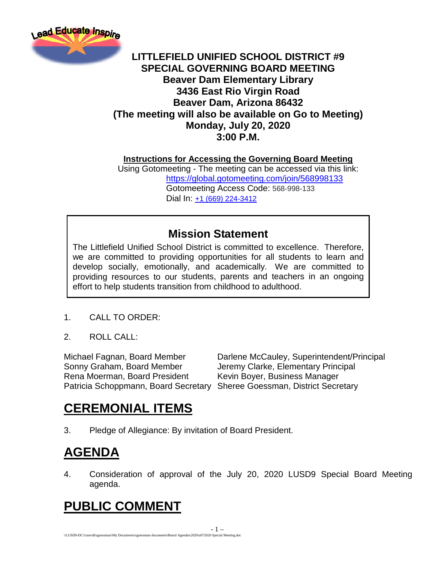

#### **LITTLEFIELD UNIFIED SCHOOL DISTRICT #9 SPECIAL GOVERNING BOARD MEETING Beaver Dam Elementary Library 3436 East Rio Virgin Road Beaver Dam, Arizona 86432 (The meeting will also be available on Go to Meeting) Monday, July 20, 2020 3:00 P.M.**

**Instructions for Accessing the Governing Board Meeting**

Using Gotomeeting - The meeting can be accessed via this link: <https://global.gotomeeting.com/join/568998133> Gotomeeting Access Code: 568-998-133 Dial In: [+1 \(669\) 224-3412](tel:+16692243412,,568998133)

#### **Mission Statement**

The Littlefield Unified School District is committed to excellence. Therefore, we are committed to providing opportunities for all students to learn and develop socially, emotionally, and academically. We are committed to providing resources to our students, parents and teachers in an ongoing effort to help students transition from childhood to adulthood.

#### 1. CALL TO ORDER:

2. ROLL CALL:

Sonny Graham, Board Member Jeremy Clarke, Elementary Principal Rena Moerman, Board President Kevin Boyer, Business Manager Patricia Schoppmann, Board Secretary Sheree Goessman, District Secretary

Michael Fagnan, Board Member Darlene McCauley, Superintendent/Principal

## **CEREMONIAL ITEMS**

3. Pledge of Allegiance: By invitation of Board President.

# **AGENDA**

4. Consideration of approval of the July 20, 2020 LUSD9 Special Board Meeting agenda.

# **PUBLIC COMMENT**